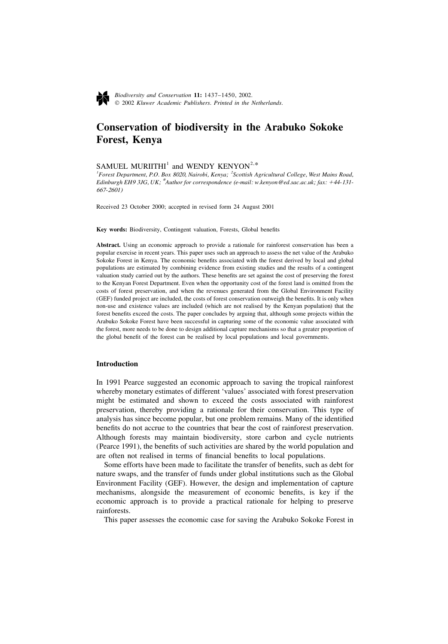

*Biodiversity and Conservation* **11:** 1437–1450, 2002. 2002 *Kluwer Academic Publishers*. *Printed in the Netherlands*.

# **Conservation of biodiversity in the Arabuko Sokoke Forest, Kenya**

## SAMUEL MURIITHI<sup>1</sup> and WENDY KENYON<sup>2,\*</sup>

<sup>1</sup> <sup>2</sup> *Forest Department*, *P*.*O*. *Box* 8020, *Nairobi*, *Kenya*; *Scottish Agricultural College*, *West Mains Road*, *Edinburgh EH*<sup>9</sup> <sup>3</sup>*JG*, *UK*; \**Author for correspondence* (*e*-*mail*: *w*.*kenyon*@*ed*.*sac*.*ac*.*uk*; *fax*: <sup>1</sup><sup>44</sup>-131- <sup>667</sup>-2601)

Received 23 October 2000; accepted in revised form 24 August 2001

**Key words:** Biodiversity, Contingent valuation, Forests, Global benefits

**Abstract.** Using an economic approach to provide a rationale for rainforest conservation has been a popular exercise in recent years. This paper uses such an approach to assess the net value of the Arabuko Sokoke Forest in Kenya. The economic benefits associated with the forest derived by local and global populations are estimated by combining evidence from existing studies and the results of a contingent valuation study carried out by the authors. These benefits are set against the cost of preserving the forest to the Kenyan Forest Department. Even when the opportunity cost of the forest land is omitted from the costs of forest preservation, and when the revenues generated from the Global Environment Facility (GEF) funded project are included, the costs of forest conservation outweigh the benefits. It is only when non-use and existence values are included (which are not realised by the Kenyan population) that the forest benefits exceed the costs. The paper concludes by arguing that, although some projects within the Arabuko Sokoke Forest have been successful in capturing some of the economic value associated with the forest, more needs to be done to design additional capture mechanisms so that a greater proportion of the global benefit of the forest can be realised by local populations and local governments.

#### **Introduction**

In 1991 Pearce suggested an economic approach to saving the tropical rainforest whereby monetary estimates of different 'values' associated with forest preservation might be estimated and shown to exceed the costs associated with rainforest preservation, thereby providing a rationale for their conservation. This type of analysis has since become popular, but one problem remains. Many of the identified benefits do not accrue to the countries that bear the cost of rainforest preservation. Although forests may maintain biodiversity, store carbon and cycle nutrients (Pearce 1991), the benefits of such activities are shared by the world population and are often not realised in terms of financial benefits to local populations.

Some efforts have been made to facilitate the transfer of benefits, such as debt for nature swaps, and the transfer of funds under global institutions such as the Global Environment Facility (GEF). However, the design and implementation of capture mechanisms, alongside the measurement of economic benefits, is key if the economic approach is to provide a practical rationale for helping to preserve rainforests.

This paper assesses the economic case for saving the Arabuko Sokoke Forest in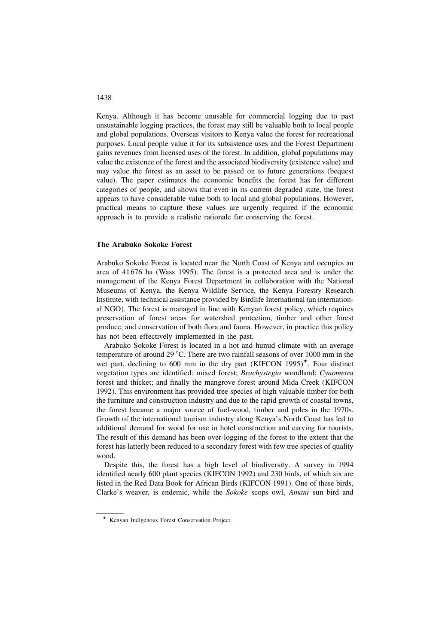Kenya. Although it has become unusable for commercial logging due to past unsustainable logging practices, the forest may still be valuable both to local people and global populations. Overseas visitors to Kenya value the forest for recreational purposes. Local people value it for its subsistence uses and the Forest Department gains revenues from licensed uses of the forest. In addition, global populations may value the existence of the forest and the associated biodiversity (existence value) and may value the forest as an asset to be passed on to future generations (bequest value). The paper estimates the economic benefits the forest has for different categories of people, and shows that even in its current degraded state, the forest appears to have considerable value both to local and global populations. However, practical means to capture these values are urgently required if the economic approach is to provide a realistic rationale for conserving the forest.

## **The Arabuko Sokoke Forest**

Arabuko Sokoke Forest is located near the North Coast of Kenya and occupies an area of 41676 ha (Wass 1995). The forest is a protected area and is under the management of the Kenya Forest Department in collaboration with the National Museums of Kenya, the Kenya Wildlife Service, the Kenya Forestry Research Institute, with technical assistance provided by Birdlife International (an international NGO). The forest is managed in line with Kenyan forest policy, which requires preservation of forest areas for watershed protection, timber and other forest produce, and conservation of both flora and fauna. However, in practice this policy has not been effectively implemented in the past.

Arabuko Sokoke Forest is located in a hot and humid climate with an average temperature of around 29  $^{\circ}$ C. There are two rainfall seasons of over 1000 mm in the wet part, declining to 600 mm in the dry part (KIFCON 1995)<sup>\*</sup>. Four distinct vegetation types are identified: mixed forest; *Brachystegia* woodland; *Cynometra* forest and thicket; and finally the mangrove forest around Mida Creek (KIFCON 1992). This environment has provided tree species of high valuable timber for both the furniture and construction industry and due to the rapid growth of coastal towns, the forest became a major source of fuel-wood, timber and poles in the 1970s. Growth of the international tourism industry along Kenya's North Coast has led to additional demand for wood for use in hotel construction and carving for tourists. The result of this demand has been over-logging of the forest to the extent that the forest has latterly been reduced to a secondary forest with few tree species of quality wood.

Despite this, the forest has a high level of biodiversity. A survey in 1994 identified nearly 600 plant species (KIFCON 1992) and 230 birds, of which six are listed in the Red Data Book for African Birds (KIFCON 1991). One of these birds, Clarke's weaver, is endemic, while the *Sokoke* scops owl, *Amani* sun bird and

## 1438

<sup>\*</sup> Kenyan Indigenous Forest Conservation Project.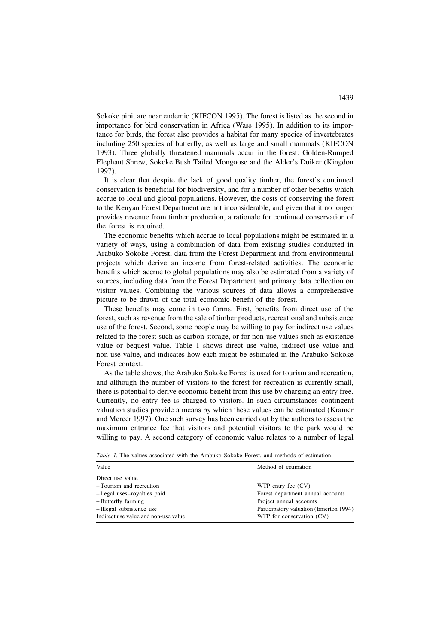Sokoke pipit are near endemic (KIFCON 1995). The forest is listed as the second in importance for bird conservation in Africa (Wass 1995). In addition to its importance for birds, the forest also provides a habitat for many species of invertebrates including 250 species of butterfly, as well as large and small mammals (KIFCON 1993). Three globally threatened mammals occur in the forest: Golden-Rumped Elephant Shrew, Sokoke Bush Tailed Mongoose and the Alder's Duiker (Kingdon 1997).

It is clear that despite the lack of good quality timber, the forest's continued conservation is beneficial for biodiversity, and for a number of other benefits which accrue to local and global populations. However, the costs of conserving the forest to the Kenyan Forest Department are not inconsiderable, and given that it no longer provides revenue from timber production, a rationale for continued conservation of the forest is required.

The economic benefits which accrue to local populations might be estimated in a variety of ways, using a combination of data from existing studies conducted in Arabuko Sokoke Forest, data from the Forest Department and from environmental projects which derive an income from forest-related activities. The economic benefits which accrue to global populations may also be estimated from a variety of sources, including data from the Forest Department and primary data collection on visitor values. Combining the various sources of data allows a comprehensive picture to be drawn of the total economic benefit of the forest.

These benefits may come in two forms. First, benefits from direct use of the forest, such as revenue from the sale of timber products, recreational and subsistence use of the forest. Second, some people may be willing to pay for indirect use values related to the forest such as carbon storage, or for non-use values such as existence value or bequest value. Table 1 shows direct use value, indirect use value and non-use value, and indicates how each might be estimated in the Arabuko Sokoke Forest context.

As the table shows, the Arabuko Sokoke Forest is used for tourism and recreation, and although the number of visitors to the forest for recreation is currently small, there is potential to derive economic benefit from this use by charging an entry free. Currently, no entry fee is charged to visitors. In such circumstances contingent valuation studies provide a means by which these values can be estimated (Kramer and Mercer 1997). One such survey has been carried out by the authors to assess the maximum entrance fee that visitors and potential visitors to the park would be willing to pay. A second category of economic value relates to a number of legal

| Value                                | Method of estimation                   |
|--------------------------------------|----------------------------------------|
| Direct use value                     |                                        |
| -Tourism and recreation              | $WTP$ entry fee $(CV)$                 |
| -Legal uses-royalties paid           | Forest department annual accounts      |
| -Butterfly farming                   | Project annual accounts                |
| -Illegal subsistence use             | Participatory valuation (Emerton 1994) |
| Indirect use value and non-use value | WTP for conservation (CV)              |

*Table* 1. The values associated with the Arabuko Sokoke Forest, and methods of estimation.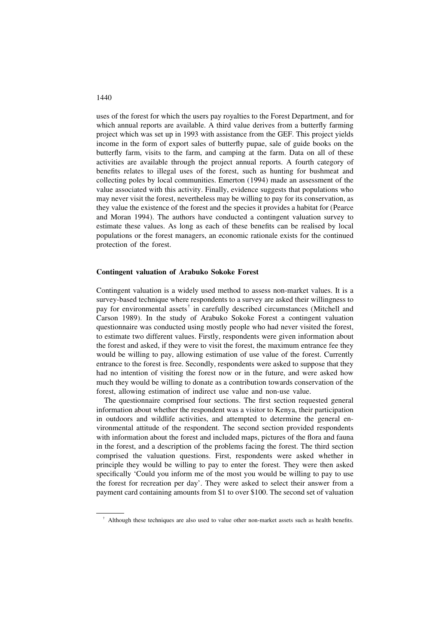uses of the forest for which the users pay royalties to the Forest Department, and for which annual reports are available. A third value derives from a butterfly farming project which was set up in 1993 with assistance from the GEF. This project yields income in the form of export sales of butterfly pupae, sale of guide books on the butterfly farm, visits to the farm, and camping at the farm. Data on all of these activities are available through the project annual reports. A fourth category of benefits relates to illegal uses of the forest, such as hunting for bushmeat and collecting poles by local communities. Emerton (1994) made an assessment of the value associated with this activity. Finally, evidence suggests that populations who may never visit the forest, nevertheless may be willing to pay for its conservation, as they value the existence of the forest and the species it provides a habitat for (Pearce and Moran 1994). The authors have conducted a contingent valuation survey to estimate these values. As long as each of these benefits can be realised by local populations or the forest managers, an economic rationale exists for the continued protection of the forest.

## **Contingent valuation of Arabuko Sokoke Forest**

Contingent valuation is a widely used method to assess non-market values. It is a survey-based technique where respondents to a survey are asked their willingness to pay for environmental assets<sup> $\dagger$ </sup> in carefully described circumstances (Mitchell and Carson 1989). In the study of Arabuko Sokoke Forest a contingent valuation questionnaire was conducted using mostly people who had never visited the forest, to estimate two different values. Firstly, respondents were given information about the forest and asked, if they were to visit the forest, the maximum entrance fee they would be willing to pay, allowing estimation of use value of the forest. Currently entrance to the forest is free. Secondly, respondents were asked to suppose that they had no intention of visiting the forest now or in the future, and were asked how much they would be willing to donate as a contribution towards conservation of the forest, allowing estimation of indirect use value and non-use value.

The questionnaire comprised four sections. The first section requested general information about whether the respondent was a visitor to Kenya, their participation in outdoors and wildlife activities, and attempted to determine the general environmental attitude of the respondent. The second section provided respondents with information about the forest and included maps, pictures of the flora and fauna in the forest, and a description of the problems facing the forest. The third section comprised the valuation questions. First, respondents were asked whether in principle they would be willing to pay to enter the forest. They were then asked specifically 'Could you inform me of the most you would be willing to pay to use the forest for recreation per day'. They were asked to select their answer from a payment card containing amounts from \$1 to over \$100. The second set of valuation

<sup>†</sup> Although these techniques are also used to value other non-market assets such as health benefits.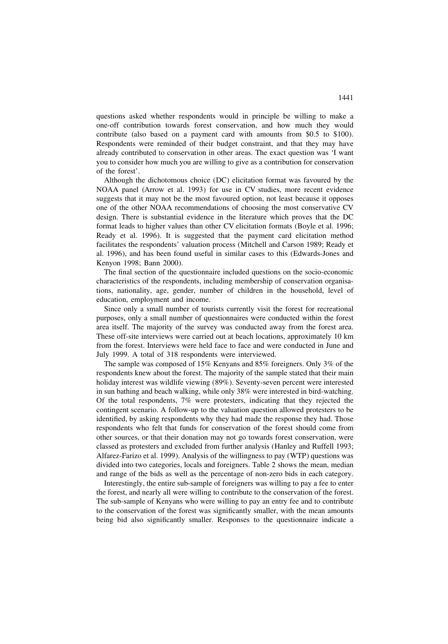questions asked whether respondents would in principle be willing to make a one-off contribution towards forest conservation, and how much they would contribute (also based on a payment card with amounts from \$0.5 to \$100). Respondents were reminded of their budget constraint, and that they may have already contributed to conservation in other areas. The exact question was 'I want you to consider how much you are willing to give as a contribution for conservation of the forest'.

Although the dichotomous choice (DC) elicitation format was favoured by the NOAA panel (Arrow et al. 1993) for use in CV studies, more recent evidence suggests that it may not be the most favoured option, not least because it opposes one of the other NOAA recommendations of choosing the most conservative CV design. There is substantial evidence in the literature which proves that the DC format leads to higher values than other CV elicitation formats (Boyle et al. 1996; Ready et al. 1996). It is suggested that the payment card elicitation method facilitates the respondents' valuation process (Mitchell and Carson 1989; Ready et al. 1996), and has been found useful in similar cases to this (Edwards-Jones and Kenyon 1998; Bann 2000).

The final section of the questionnaire included questions on the socio-economic characteristics of the respondents, including membership of conservation organisations, nationality, age, gender, number of children in the household, level of education, employment and income.

Since only a small number of tourists currently visit the forest for recreational purposes, only a small number of questionnaires were conducted within the forest area itself. The majority of the survey was conducted away from the forest area. These off-site interviews were carried out at beach locations, approximately 10 km from the forest. Interviews were held face to face and were conducted in June and July 1999. A total of 318 respondents were interviewed.

The sample was composed of 15% Kenyans and 85% foreigners. Only 3% of the respondents knew about the forest. The majority of the sample stated that their main holiday interest was wildlife viewing (89%). Seventy-seven percent were interested in sun bathing and beach walking, while only 38% were interested in bird-watching. Of the total respondents, 7% were protesters, indicating that they rejected the contingent scenario. A follow-up to the valuation question allowed protesters to be identified, by asking respondents why they had made the response they had. Those respondents who felt that funds for conservation of the forest should come from other sources, or that their donation may not go towards forest conservation, were classed as protesters and excluded from further analysis (Hanley and Ruffell 1993; Alfarez-Farizo et al. 1999). Analysis of the willingness to pay (WTP) questions was divided into two categories, locals and foreigners. Table 2 shows the mean, median and range of the bids as well as the percentage of non-zero bids in each category.

Interestingly, the entire sub-sample of foreigners was willing to pay a fee to enter the forest, and nearly all were willing to contribute to the conservation of the forest. The sub-sample of Kenyans who were willing to pay an entry fee and to contribute to the conservation of the forest was significantly smaller, with the mean amounts being bid also significantly smaller. Responses to the questionnaire indicate a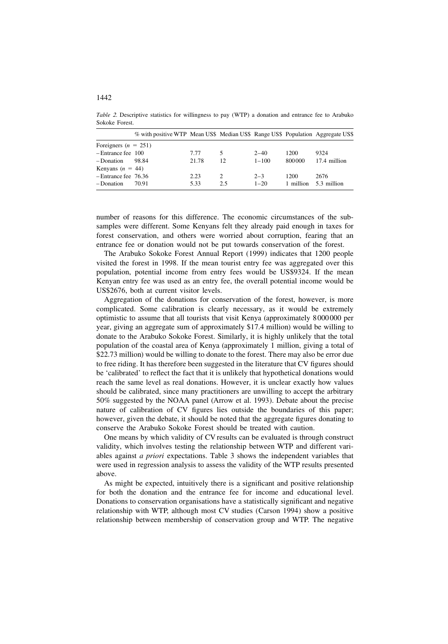|                        | % with positive WTP Mean US\$ Median US\$ Range US\$ Population Aggregate US\$ |       |               |           |           |              |
|------------------------|--------------------------------------------------------------------------------|-------|---------------|-----------|-----------|--------------|
| Foreigners $(n = 251)$ |                                                                                |       |               |           |           |              |
| $-$ Entrance fee $100$ |                                                                                | 7.77  | 5             | $2 - 40$  | 1200      | 9324         |
| -Donation              | 98.84                                                                          | 21.78 | 12            | $1 - 100$ | 800000    | 17.4 million |
| Kenyans $(n = 44)$     |                                                                                |       |               |           |           |              |
| $-$ Entrance fee 76.36 |                                                                                | 2.23  | $\mathcal{L}$ | $2 - 3$   | 1200      | 2676         |
| -Donation              | 70.91                                                                          | 5.33  | 2.5           | $1 - 20$  | 1 million | 5.3 million  |

*Table* 2. Descriptive statistics for willingness to pay (WTP) a donation and entrance fee to Arabuko Sokoke Forest.

number of reasons for this difference. The economic circumstances of the subsamples were different. Some Kenyans felt they already paid enough in taxes for forest conservation, and others were worried about corruption, fearing that an entrance fee or donation would not be put towards conservation of the forest.

The Arabuko Sokoke Forest Annual Report (1999) indicates that 1200 people visited the forest in 1998. If the mean tourist entry fee was aggregated over this population, potential income from entry fees would be US\$9324. If the mean Kenyan entry fee was used as an entry fee, the overall potential income would be US\$2676, both at current visitor levels.

Aggregation of the donations for conservation of the forest, however, is more complicated. Some calibration is clearly necessary, as it would be extremely optimistic to assume that all tourists that visit Kenya (approximately 8000000 per year, giving an aggregate sum of approximately \$17.4 million) would be willing to donate to the Arabuko Sokoke Forest. Similarly, it is highly unlikely that the total population of the coastal area of Kenya (approximately 1 million, giving a total of \$22.73 million) would be willing to donate to the forest. There may also be error due to free riding. It has therefore been suggested in the literature that CV figures should be 'calibrated' to reflect the fact that it is unlikely that hypothetical donations would reach the same level as real donations. However, it is unclear exactly how values should be calibrated, since many practitioners are unwilling to accept the arbitrary 50% suggested by the NOAA panel (Arrow et al. 1993). Debate about the precise nature of calibration of CV figures lies outside the boundaries of this paper; however, given the debate, it should be noted that the aggregate figures donating to conserve the Arabuko Sokoke Forest should be treated with caution.

One means by which validity of CV results can be evaluated is through construct validity, which involves testing the relationship between WTP and different variables against *a priori* expectations. Table 3 shows the independent variables that were used in regression analysis to assess the validity of the WTP results presented above.

As might be expected, intuitively there is a significant and positive relationship for both the donation and the entrance fee for income and educational level. Donations to conservation organisations have a statistically significant and negative relationship with WTP, although most CV studies (Carson 1994) show a positive relationship between membership of conservation group and WTP. The negative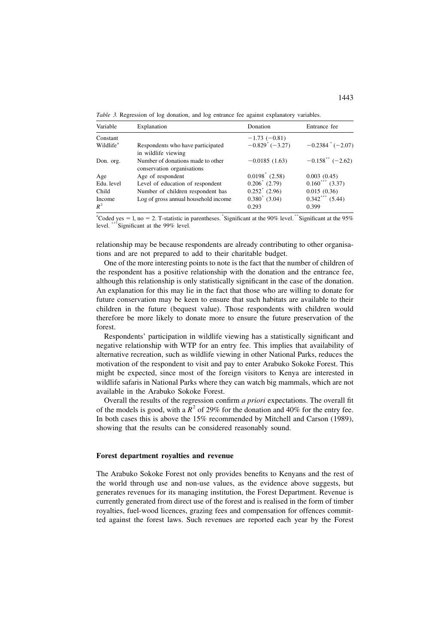| Variable              | Explanation                                                     | Donation                      | Entrance fee                     |
|-----------------------|-----------------------------------------------------------------|-------------------------------|----------------------------------|
| Constant              |                                                                 | $-1.73(-0.81)$                |                                  |
| Wildlife <sup>a</sup> | Respondents who have participated<br>in wildlife viewing        | $-0.829$ <sup>*</sup> (-3.27) | $-0.2384$ <sup>*</sup> (-2.07)   |
| Don. org.             | Number of donations made to other<br>conservation organisations | $-0.0185(1.63)$               | $-0.158$ <sup>**</sup> $(-2.62)$ |
| Age                   | Age of respondent                                               | $0.0198^*$ (2.58)             | 0.003(0.45)                      |
| Edu. level            | Level of education of respondent                                | $0.206^*$ (2.79)              | $0.160^{***}$ (3.37)             |
| Child                 | Number of children respondent has                               | $0.252^*$ (2.96)              | 0.015(0.36)                      |
| Income<br>$R^2$       | Log of gross annual household income                            | $0.380^*$ (3.04)<br>0.293     | $0.342$ *** (5.44)<br>0.399      |

*Table* 3. Regression of log donation, and log entrance fee against explanatory variables.

<sup>a</sup> Coded yes = 1, no = 2. T-statistic in parentheses. Significant at the 90% level. \* Significant at the 95% level. \*\*\* Significant at the 99% level.

relationship may be because respondents are already contributing to other organisations and are not prepared to add to their charitable budget.

One of the more interesting points to note is the fact that the number of children of the respondent has a positive relationship with the donation and the entrance fee, although this relationship is only statistically significant in the case of the donation. An explanation for this may lie in the fact that those who are willing to donate for future conservation may be keen to ensure that such habitats are available to their children in the future (bequest value). Those respondents with children would therefore be more likely to donate more to ensure the future preservation of the forest.

Respondents' participation in wildlife viewing has a statistically significant and negative relationship with WTP for an entry fee. This implies that availability of alternative recreation, such as wildlife viewing in other National Parks, reduces the motivation of the respondent to visit and pay to enter Arabuko Sokoke Forest. This might be expected, since most of the foreign visitors to Kenya are interested in wildlife safaris in National Parks where they can watch big mammals, which are not available in the Arabuko Sokoke Forest.

Overall the results of the regression confirm *a priori* expectations. The overall fit of the models is good, with a  $R^2$  of 29% for the donation and 40% for the entry fee. In both cases this is above the 15% recommended by Mitchell and Carson (1989), showing that the results can be considered reasonably sound.

## **Forest department royalties and revenue**

The Arabuko Sokoke Forest not only provides benefits to Kenyans and the rest of the world through use and non-use values, as the evidence above suggests, but generates revenues for its managing institution, the Forest Department. Revenue is currently generated from direct use of the forest and is realised in the form of timber royalties, fuel-wood licences, grazing fees and compensation for offences committed against the forest laws. Such revenues are reported each year by the Forest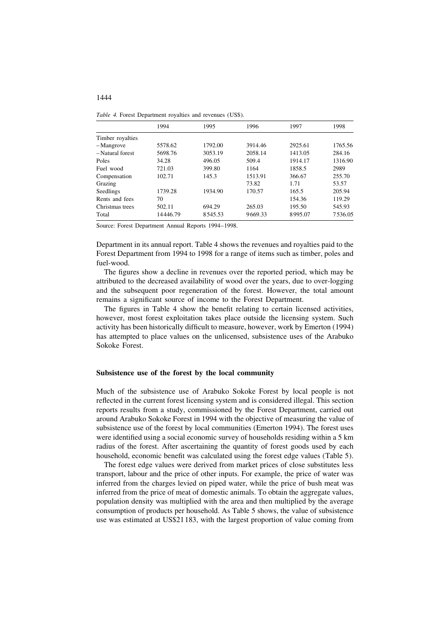|                  | 1994     | 1995    | 1996    | 1997    | 1998    |
|------------------|----------|---------|---------|---------|---------|
| Timber royalties |          |         |         |         |         |
| $-Mangrove$      | 5578.62  | 1792.00 | 3914.46 | 2925.61 | 1765.56 |
| -Natural forest  | 5698.76  | 3053.19 | 2058.14 | 1413.05 | 284.16  |
| Poles            | 34.28    | 496.05  | 509.4   | 1914.17 | 1316.90 |
| Fuel wood        | 721.03   | 399.80  | 1164    | 1858.5  | 2989    |
| Compensation     | 102.71   | 145.3   | 1513.91 | 366.67  | 255.70  |
| Grazing          |          |         | 73.82   | 1.71    | 53.57   |
| Seedlings        | 1739.28  | 1934.90 | 170.57  | 165.5   | 205.94  |
| Rents and fees   | 70       |         |         | 154.36  | 119.29  |
| Christmas trees  | 502.11   | 694.29  | 265.03  | 195.50  | 545.93  |
| Total            | 14446.79 | 8545.53 | 9669.33 | 8995.07 | 7536.05 |

*Table* 4. Forest Department royalties and revenues (US\$).

Source: Forest Department Annual Reports 1994–1998.

Department in its annual report. Table 4 shows the revenues and royalties paid to the Forest Department from 1994 to 1998 for a range of items such as timber, poles and fuel-wood.

The figures show a decline in revenues over the reported period, which may be attributed to the decreased availability of wood over the years, due to over-logging and the subsequent poor regeneration of the forest. However, the total amount remains a significant source of income to the Forest Department.

The figures in Table 4 show the benefit relating to certain licensed activities, however, most forest exploitation takes place outside the licensing system. Such activity has been historically difficult to measure, however, work by Emerton (1994) has attempted to place values on the unlicensed, subsistence uses of the Arabuko Sokoke Forest.

## **Subsistence use of the forest by the local community**

Much of the subsistence use of Arabuko Sokoke Forest by local people is not reflected in the current forest licensing system and is considered illegal. This section reports results from a study, commissioned by the Forest Department, carried out around Arabuko Sokoke Forest in 1994 with the objective of measuring the value of subsistence use of the forest by local communities (Emerton 1994). The forest uses were identified using a social economic survey of households residing within a 5 km radius of the forest. After ascertaining the quantity of forest goods used by each household, economic benefit was calculated using the forest edge values (Table 5).

The forest edge values were derived from market prices of close substitutes less transport, labour and the price of other inputs. For example, the price of water was inferred from the charges levied on piped water, while the price of bush meat was inferred from the price of meat of domestic animals. To obtain the aggregate values, population density was multiplied with the area and then multiplied by the average consumption of products per household. As Table 5 shows, the value of subsistence use was estimated at US\$21183, with the largest proportion of value coming from

## 1444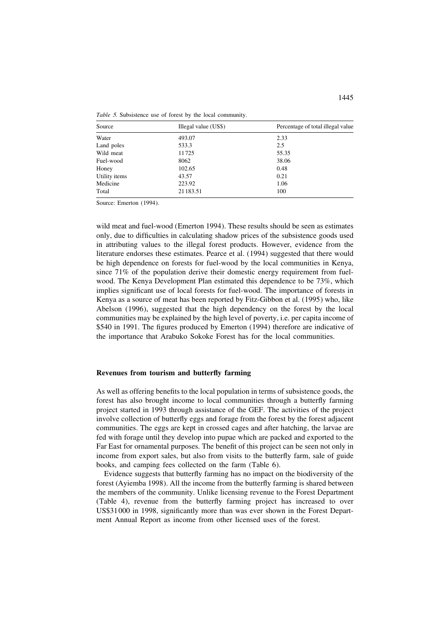| Source        | Illegal value (US\$) | Percentage of total illegal value |
|---------------|----------------------|-----------------------------------|
| Water         | 493.07               | 2.33                              |
| Land poles    | 533.3                | 2.5                               |
| Wild meat     | 11725                | 55.35                             |
| Fuel-wood     | 8062                 | 38.06                             |
| Honey         | 102.65               | 0.48                              |
| Utility items | 43.57                | 0.21                              |
| Medicine      | 223.92               | 1.06                              |
| Total         | 21183.51             | 100                               |

*Table* 5. Subsistence use of forest by the local community.

Source: Emerton (1994).

wild meat and fuel-wood (Emerton 1994). These results should be seen as estimates only, due to difficulties in calculating shadow prices of the subsistence goods used in attributing values to the illegal forest products. However, evidence from the literature endorses these estimates. Pearce et al. (1994) suggested that there would be high dependence on forests for fuel-wood by the local communities in Kenya, since 71% of the population derive their domestic energy requirement from fuelwood. The Kenya Development Plan estimated this dependence to be 73%, which implies significant use of local forests for fuel-wood. The importance of forests in Kenya as a source of meat has been reported by Fitz-Gibbon et al. (1995) who, like Abelson (1996), suggested that the high dependency on the forest by the local communities may be explained by the high level of poverty, i.e. per capita income of \$540 in 1991. The figures produced by Emerton (1994) therefore are indicative of the importance that Arabuko Sokoke Forest has for the local communities.

#### **Revenues from tourism and butterfly farming**

As well as offering benefits to the local population in terms of subsistence goods, the forest has also brought income to local communities through a butterfly farming project started in 1993 through assistance of the GEF. The activities of the project involve collection of butterfly eggs and forage from the forest by the forest adjacent communities. The eggs are kept in crossed cages and after hatching, the larvae are fed with forage until they develop into pupae which are packed and exported to the Far East for ornamental purposes. The benefit of this project can be seen not only in income from export sales, but also from visits to the butterfly farm, sale of guide books, and camping fees collected on the farm (Table 6).

Evidence suggests that butterfly farming has no impact on the biodiversity of the forest (Ayiemba 1998). All the income from the butterfly farming is shared between the members of the community. Unlike licensing revenue to the Forest Department (Table 4), revenue from the butterfly farming project has increased to over US\$31000 in 1998, significantly more than was ever shown in the Forest Department Annual Report as income from other licensed uses of the forest.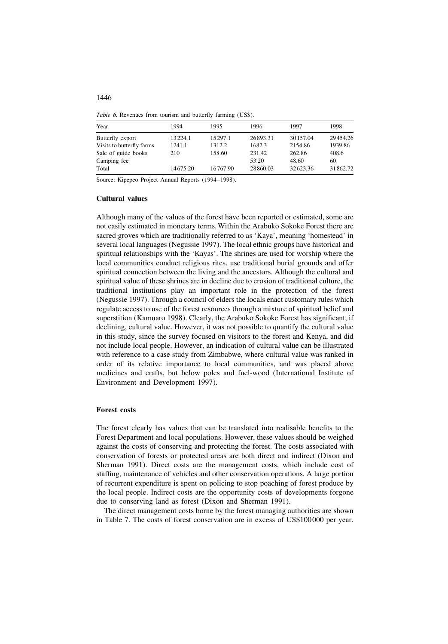## 1446

| Year                      | 1994     | 1995     | 1996     | 1997     | 1998     |
|---------------------------|----------|----------|----------|----------|----------|
| Butterfly export          | 13224.1  | 15297.1  | 26893.31 | 30157.04 | 29454.26 |
| Visits to butterfly farms | 1241.1   | 1312.2   | 1682.3   | 2154.86  | 1939.86  |
| Sale of guide books       | 210      | 158.60   | 231.42   | 262.86   | 408.6    |
| Camping fee               |          |          | 53.20    | 48.60    | 60       |
| Total                     | 14675.20 | 16767.90 | 28860.03 | 32623.36 | 31862.72 |

*Table* 6. Revenues from tourism and butterfly farming (US\$).

Source: Kipepeo Project Annual Reports (1994–1998).

## **Cultural values**

Although many of the values of the forest have been reported or estimated, some are not easily estimated in monetary terms. Within the Arabuko Sokoke Forest there are sacred groves which are traditionally referred to as 'Kaya', meaning 'homestead' in several local languages (Negussie 1997). The local ethnic groups have historical and spiritual relationships with the 'Kayas'. The shrines are used for worship where the local communities conduct religious rites, use traditional burial grounds and offer spiritual connection between the living and the ancestors. Although the cultural and spiritual value of these shrines are in decline due to erosion of traditional culture, the traditional institutions play an important role in the protection of the forest (Negussie 1997). Through a council of elders the locals enact customary rules which regulate access to use of the forest resources through a mixture of spiritual belief and superstition (Kamuaro 1998). Clearly, the Arabuko Sokoke Forest has significant, if declining, cultural value. However, it was not possible to quantify the cultural value in this study, since the survey focused on visitors to the forest and Kenya, and did not include local people. However, an indication of cultural value can be illustrated with reference to a case study from Zimbabwe, where cultural value was ranked in order of its relative importance to local communities, and was placed above medicines and crafts, but below poles and fuel-wood (International Institute of Environment and Development 1997).

## **Forest costs**

The forest clearly has values that can be translated into realisable benefits to the Forest Department and local populations. However, these values should be weighed against the costs of conserving and protecting the forest. The costs associated with conservation of forests or protected areas are both direct and indirect (Dixon and Sherman 1991). Direct costs are the management costs, which include cost of staffing, maintenance of vehicles and other conservation operations. A large portion of recurrent expenditure is spent on policing to stop poaching of forest produce by the local people. Indirect costs are the opportunity costs of developments forgone due to conserving land as forest (Dixon and Sherman 1991).

The direct management costs borne by the forest managing authorities are shown in Table 7. The costs of forest conservation are in excess of US\$100000 per year.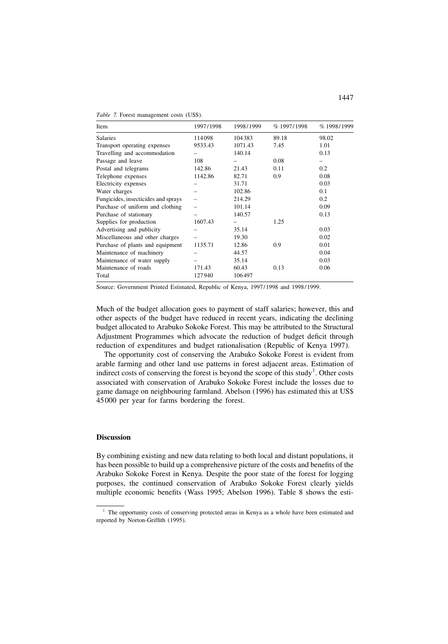| Item                                | 1997/1998 | 1998/1999 | %1997/1998 | %1998/1999 |
|-------------------------------------|-----------|-----------|------------|------------|
| <b>Salaries</b>                     | 114098    | 104383    | 89.18      | 98.02      |
| Transport operating expenses        | 9533.43   | 1071.43   | 7.45       | 1.01       |
| Travelling and accommodation        |           | 140.14    |            | 0.13       |
| Passage and leave                   | 108       |           | 0.08       |            |
| Postal and telegrams                | 142.86    | 21.43     | 0.11       | 0.2        |
| Telephone expenses                  | 1142.86   | 82.71     | 0.9        | 0.08       |
| Electricity expenses                |           | 31.71     |            | 0.03       |
| Water charges                       |           | 102.86    |            | 0.1        |
| Fungicides, insecticides and sprays |           | 214.29    |            | 0.2        |
| Purchase of uniform and clothing    |           | 101.14    |            | 0.09       |
| Purchase of stationary              |           | 140.57    |            | 0.13       |
| Supplies for production             | 1607.43   |           | 1.25       |            |
| Advertising and publicity           |           | 35.14     |            | 0.03       |
| Miscellaneous and other charges     |           | 19.30     |            | 0.02       |
| Purchase of plants and equipment    | 1135.71   | 12.86     | 0.9        | 0.01       |
| Maintenance of machinery            |           | 44.57     |            | 0.04       |
| Maintenance of water supply         |           | 35.14     |            | 0.03       |
| Maintenance of roads                | 171.43    | 60.43     | 0.13       | 0.06       |
| Total                               | 127940    | 106497    |            |            |

*Table* 7. Forest management costs (US\$).

Source: Government Printed Estimated, Republic of Kenya, 1997/1998 and 1998/1999.

Much of the budget allocation goes to payment of staff salaries; however, this and other aspects of the budget have reduced in recent years, indicating the declining budget allocated to Arabuko Sokoke Forest. This may be attributed to the Structural Adjustment Programmes which advocate the reduction of budget deficit through reduction of expenditures and budget rationalisation (Republic of Kenya 1997).

The opportunity cost of conserving the Arabuko Sokoke Forest is evident from arable farming and other land use patterns in forest adjacent areas. Estimation of indirect costs of conserving the forest is beyond the scope of this study<sup> $\ddagger$ </sup>. Other costs associated with conservation of Arabuko Sokoke Forest include the losses due to game damage on neighbouring farmland. Abelson (1996) has estimated this at US\$ 45000 per year for farms bordering the forest.

## **Discussion**

By combining existing and new data relating to both local and distant populations, it has been possible to build up a comprehensive picture of the costs and benefits of the Arabuko Sokoke Forest in Kenya. Despite the poor state of the forest for logging purposes, the continued conservation of Arabuko Sokoke Forest clearly yields multiple economic benefits (Wass 1995; Abelson 1996). Table 8 shows the esti-

<sup>‡</sup> The opportunity costs of conserving protected areas in Kenya as a whole have been estimated and reported by Norton-Griffith (1995).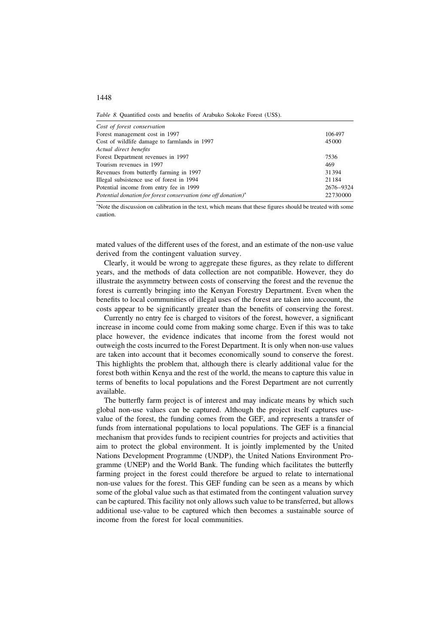## 1448

*Table* 8. Quantified costs and benefits of Arabuko Sokoke Forest (US\$).

| Cost of forest conservation                                                |           |
|----------------------------------------------------------------------------|-----------|
| Forest management cost in 1997                                             | 106497    |
| Cost of wildlife damage to farmlands in 1997                               | 45000     |
| Actual direct benefits                                                     |           |
| Forest Department revenues in 1997                                         | 7536      |
| Tourism revenues in 1997                                                   | 469       |
| Revenues from butterfly farming in 1997                                    | 31394     |
| Illegal subsistence use of forest in 1994                                  | 21184     |
| Potential income from entry fee in 1999                                    | 2676-9324 |
| Potential donation for forest conservation (one off donation) <sup>a</sup> | 22730000  |

<sup>a</sup>Note the discussion on calibration in the text, which means that these figures should be treated with some caution.

mated values of the different uses of the forest, and an estimate of the non-use value derived from the contingent valuation survey.

Clearly, it would be wrong to aggregate these figures, as they relate to different years, and the methods of data collection are not compatible. However, they do illustrate the asymmetry between costs of conserving the forest and the revenue the forest is currently bringing into the Kenyan Forestry Department. Even when the benefits to local communities of illegal uses of the forest are taken into account, the costs appear to be significantly greater than the benefits of conserving the forest.

Currently no entry fee is charged to visitors of the forest, however, a significant increase in income could come from making some charge. Even if this was to take place however, the evidence indicates that income from the forest would not outweigh the costs incurred to the Forest Department. It is only when non-use values are taken into account that it becomes economically sound to conserve the forest. This highlights the problem that, although there is clearly additional value for the forest both within Kenya and the rest of the world, the means to capture this value in terms of benefits to local populations and the Forest Department are not currently available.

The butterfly farm project is of interest and may indicate means by which such global non-use values can be captured. Although the project itself captures usevalue of the forest, the funding comes from the GEF, and represents a transfer of funds from international populations to local populations. The GEF is a financial mechanism that provides funds to recipient countries for projects and activities that aim to protect the global environment. It is jointly implemented by the United Nations Development Programme (UNDP), the United Nations Environment Programme (UNEP) and the World Bank. The funding which facilitates the butterfly farming project in the forest could therefore be argued to relate to international non-use values for the forest. This GEF funding can be seen as a means by which some of the global value such as that estimated from the contingent valuation survey can be captured. This facility not only allows such value to be transferred, but allows additional use-value to be captured which then becomes a sustainable source of income from the forest for local communities.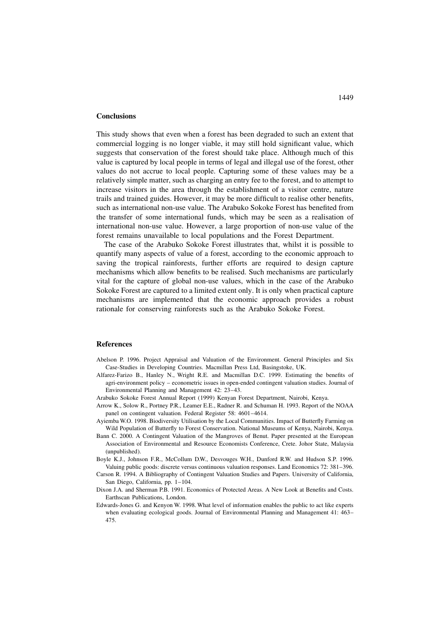## **Conclusions**

This study shows that even when a forest has been degraded to such an extent that commercial logging is no longer viable, it may still hold significant value, which suggests that conservation of the forest should take place. Although much of this value is captured by local people in terms of legal and illegal use of the forest, other values do not accrue to local people. Capturing some of these values may be a relatively simple matter, such as charging an entry fee to the forest, and to attempt to increase visitors in the area through the establishment of a visitor centre, nature trails and trained guides. However, it may be more difficult to realise other benefits, such as international non-use value. The Arabuko Sokoke Forest has benefited from the transfer of some international funds, which may be seen as a realisation of international non-use value. However, a large proportion of non-use value of the forest remains unavailable to local populations and the Forest Department.

The case of the Arabuko Sokoke Forest illustrates that, whilst it is possible to quantify many aspects of value of a forest, according to the economic approach to saving the tropical rainforests, further efforts are required to design capture mechanisms which allow benefits to be realised. Such mechanisms are particularly vital for the capture of global non-use values, which in the case of the Arabuko Sokoke Forest are captured to a limited extent only. It is only when practical capture mechanisms are implemented that the economic approach provides a robust rationale for conserving rainforests such as the Arabuko Sokoke Forest.

#### **References**

- Abelson P. 1996. Project Appraisal and Valuation of the Environment. General Principles and Six Case-Studies in Developing Countries. Macmillan Press Ltd, Basingstoke, UK.
- Alfarez-Farizo B., Hanley N., Wright R.E. and Macmillan D.C. 1999. Estimating the benefits of agri-environment policy – econometric issues in open-ended contingent valuation studies. Journal of Environmental Planning and Management 42: 23–43.
- Arabuko Sokoke Forest Annual Report (1999) Kenyan Forest Department, Nairobi, Kenya.
- Arrow K., Solow R., Portney P.R., Leamer E.E., Radner R. and Schuman H. 1993. Report of the NOAA panel on contingent valuation. Federal Register 58: 4601–4614.
- Ayiemba W.O. 1998. Biodiversity Utilisation by the Local Communities. Impact of Butterfly Farming on Wild Population of Butterfly to Forest Conservation. National Museums of Kenya, Nairobi, Kenya.
- Bann C. 2000. A Contingent Valuation of the Mangroves of Benut. Paper presented at the European Association of Environmental and Resource Economists Conference, Crete. Johor State, Malaysia (unpublished).
- Boyle K.J., Johnson F.R., McCollum D.W., Desvouges W.H., Dunford R.W. and Hudson S.P. 1996. Valuing public goods: discrete versus continuous valuation responses. Land Economics 72: 381–396.
- Carson R. 1994. A Bibliography of Contingent Valuation Studies and Papers. University of California, San Diego, California, pp. 1–104.
- Dixon J.A. and Sherman P.B. 1991. Economics of Protected Areas. A New Look at Benefits and Costs. Earthscan Publications, London.
- Edwards-Jones G. and Kenyon W. 1998. What level of information enables the public to act like experts when evaluating ecological goods. Journal of Environmental Planning and Management 41: 463– 475.